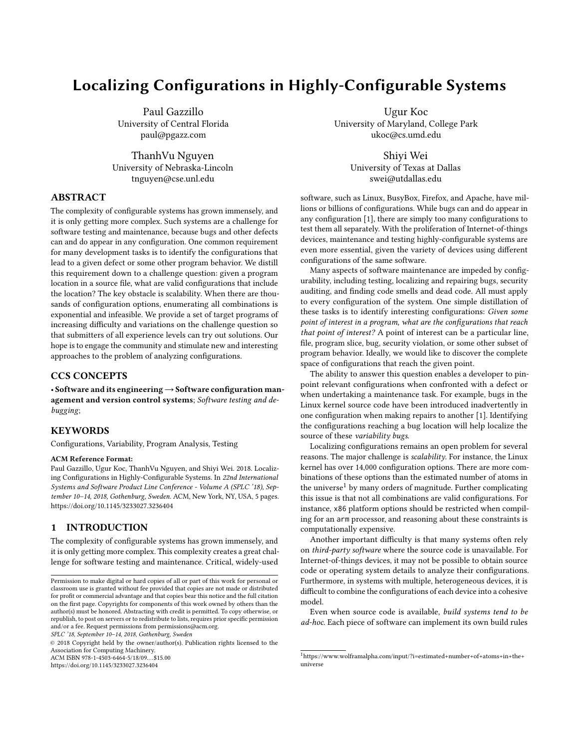# Localizing Configurations in Highly-Configurable Systems

Paul Gazzillo University of Central Florida paul@pgazz.com

ThanhVu Nguyen University of Nebraska-Lincoln tnguyen@cse.unl.edu

# ABSTRACT

The complexity of configurable systems has grown immensely, and it is only getting more complex. Such systems are a challenge for software testing and maintenance, because bugs and other defects can and do appear in any configuration. One common requirement for many development tasks is to identify the configurations that lead to a given defect or some other program behavior. We distill this requirement down to a challenge question: given a program location in a source file, what are valid configurations that include the location? The key obstacle is scalability. When there are thousands of configuration options, enumerating all combinations is exponential and infeasible. We provide a set of target programs of increasing difficulty and variations on the challenge question so that submitters of all experience levels can try out solutions. Our hope is to engage the community and stimulate new and interesting approaches to the problem of analyzing configurations.

#### CCS CONCEPTS

 $\bullet$  Software and its engineering  $\rightarrow$  Software configuration management and version control systems; Software testing and debugging;

### **KEYWORDS**

Configurations, Variability, Program Analysis, Testing

#### ACM Reference Format:

Paul Gazzillo, Ugur Koc, ThanhVu Nguyen, and Shiyi Wei. 2018. Localizing Configurations in Highly-Configurable Systems. In 22nd International Systems and Software Product Line Conference - Volume A (SPLC '18), September 10–14, 2018, Gothenburg, Sweden. ACM, New York, NY, USA, [5](#page-4-0) pages. <https://doi.org/10.1145/3233027.3236404>

# 1 INTRODUCTION

The complexity of configurable systems has grown immensely, and it is only getting more complex. This complexity creates a great challenge for software testing and maintenance. Critical, widely-used

© 2018 Copyright held by the owner/author(s). Publication rights licensed to the Association for Computing Machinery. ACM ISBN 978-1-4503-6464-5/18/09...\$15.00

<https://doi.org/10.1145/3233027.3236404>

Ugur Koc University of Maryland, College Park ukoc@cs.umd.edu

> Shiyi Wei University of Texas at Dallas swei@utdallas.edu

software, such as Linux, BusyBox, Firefox, and Apache, have millions or billions of configurations. While bugs can and do appear in any configuration [\[1\]](#page-3-0), there are simply too many configurations to test them all separately. With the proliferation of Internet-of-things devices, maintenance and testing highly-configurable systems are even more essential, given the variety of devices using different configurations of the same software.

Many aspects of software maintenance are impeded by configurability, including testing, localizing and repairing bugs, security auditing, and finding code smells and dead code. All must apply to every configuration of the system. One simple distillation of these tasks is to identify interesting configurations: Given some point of interest in a program, what are the configurations that reach that point of interest? A point of interest can be a particular line, file, program slice, bug, security violation, or some other subset of program behavior. Ideally, we would like to discover the complete space of configurations that reach the given point.

The ability to answer this question enables a developer to pinpoint relevant configurations when confronted with a defect or when undertaking a maintenance task. For example, bugs in the Linux kernel source code have been introduced inadvertently in one configuration when making repairs to another [\[1\]](#page-3-0). Identifying the configurations reaching a bug location will help localize the source of these variability bugs.

Localizing configurations remains an open problem for several reasons. The major challenge is scalability. For instance, the Linux kernel has over 14,000 configuration options. There are more combinations of these options than the estimated number of atoms in the universe<sup>[1](#page-0-0)</sup> by many orders of magnitude. Further complicating this issue is that not all combinations are valid configurations. For instance, x86 platform options should be restricted when compiling for an arm processor, and reasoning about these constraints is computationally expensive.

Another important difficulty is that many systems often rely on third-party software where the source code is unavailable. For Internet-of-things devices, it may not be possible to obtain source code or operating system details to analyze their configurations. Furthermore, in systems with multiple, heterogeneous devices, it is difficult to combine the configurations of each device into a cohesive model.

Even when source code is available, build systems tend to be ad-hoc. Each piece of software can implement its own build rules

Permission to make digital or hard copies of all or part of this work for personal or classroom use is granted without fee provided that copies are not made or distributed for profit or commercial advantage and that copies bear this notice and the full citation on the first page. Copyrights for components of this work owned by others than the author(s) must be honored. Abstracting with credit is permitted. To copy otherwise, or republish, to post on servers or to redistribute to lists, requires prior specific permission and/or a fee. Request permissions from permissions@acm.org. SPLC '18, September 10–14, 2018, Gothenburg, Sweden

<span id="page-0-0"></span> $1$ [https://www.wolframalpha.com/input/?i=estimated+number+of+atoms+in+the+](https://www.wolframalpha.com/input/?i=estimated+number+of+atoms+in+the+universe) [universe](https://www.wolframalpha.com/input/?i=estimated+number+of+atoms+in+the+universe)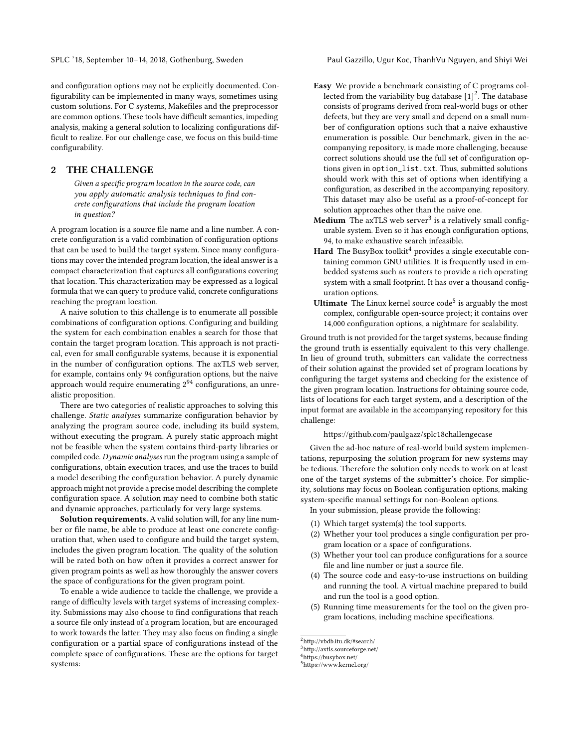SPLC '18, September 10–14, 2018, Gothenburg, Sweden Paul Gazzillo, Ugur Koc, ThanhVu Nguyen, and Shiyi Wei

and configuration options may not be explicitly documented. Configurability can be implemented in many ways, sometimes using custom solutions. For C systems, Makefiles and the preprocessor are common options. These tools have difficult semantics, impeding analysis, making a general solution to localizing configurations difficult to realize. For our challenge case, we focus on this build-time configurability.

# 2 THE CHALLENGE

Given a specific program location in the source code, can you apply automatic analysis techniques to find concrete configurations that include the program location in question?

A program location is a source file name and a line number. A concrete configuration is a valid combination of configuration options that can be used to build the target system. Since many configurations may cover the intended program location, the ideal answer is a compact characterization that captures all configurations covering that location. This characterization may be expressed as a logical formula that we can query to produce valid, concrete configurations reaching the program location.

A naive solution to this challenge is to enumerate all possible combinations of configuration options. Configuring and building the system for each combination enables a search for those that contain the target program location. This approach is not practical, even for small configurable systems, because it is exponential in the number of configuration options. The axTLS web server, for example, contains only 94 configuration options, but the naive approach would require enumerating  $2^{94}$  configurations, an unrealistic proposition.

There are two categories of realistic approaches to solving this challenge. Static analyses summarize configuration behavior by analyzing the program source code, including its build system, without executing the program. A purely static approach might not be feasible when the system contains third-party libraries or compiled code. Dynamic analyses run the program using a sample of configurations, obtain execution traces, and use the traces to build a model describing the configuration behavior. A purely dynamic approach might not provide a precise model describing the complete configuration space. A solution may need to combine both static and dynamic approaches, particularly for very large systems.

Solution requirements. A valid solution will, for any line number or file name, be able to produce at least one concrete configuration that, when used to configure and build the target system, includes the given program location. The quality of the solution will be rated both on how often it provides a correct answer for given program points as well as how thoroughly the answer covers the space of configurations for the given program point.

To enable a wide audience to tackle the challenge, we provide a range of difficulty levels with target systems of increasing complexity. Submissions may also choose to find configurations that reach a source file only instead of a program location, but are encouraged to work towards the latter. They may also focus on finding a single configuration or a partial space of configurations instead of the complete space of configurations. These are the options for target systems:

- Easy We provide a benchmark consisting of C programs collected from the variability bug database  $[1]^2$  $[1]^2$  $[1]^2$ . The database consists of programs derived from real-world bugs or other defects, but they are very small and depend on a small number of configuration options such that a naive exhaustive enumeration is possible. Our benchmark, given in the accompanying repository, is made more challenging, because correct solutions should use the full set of configuration options given in option\_list.txt. Thus, submitted solutions should work with this set of options when identifying a configuration, as described in the accompanying repository. This dataset may also be useful as a proof-of-concept for solution approaches other than the naive one.
- Medium The axTLS web server $^3$  $^3$  is a relatively small configurable system. Even so it has enough configuration options, 94, to make exhaustive search infeasible.
- Hard The BusyBox toolkit<sup>[4](#page-1-2)</sup> provides a single executable containing common GNU utilities. It is frequently used in embedded systems such as routers to provide a rich operating system with a small footprint. It has over a thousand configuration options.
- Ultimate The Linux kernel source  $code<sup>5</sup>$  $code<sup>5</sup>$  $code<sup>5</sup>$  is arguably the most complex, configurable open-source project; it contains over 14,000 configuration options, a nightmare for scalability.

Ground truth is not provided for the target systems, because finding the ground truth is essentially equivalent to this very challenge. In lieu of ground truth, submitters can validate the correctness of their solution against the provided set of program locations by configuring the target systems and checking for the existence of the given program location. Instructions for obtaining source code, lists of locations for each target system, and a description of the input format are available in the accompanying repository for this challenge:

<https://github.com/paulgazz/splc18challengecase>

Given the ad-hoc nature of real-world build system implementations, repurposing the solution program for new systems may be tedious. Therefore the solution only needs to work on at least one of the target systems of the submitter's choice. For simplicity, solutions may focus on Boolean configuration options, making system-specific manual settings for non-Boolean options.

In your submission, please provide the following:

- (1) Which target system(s) the tool supports.
- (2) Whether your tool produces a single configuration per program location or a space of configurations.
- (3) Whether your tool can produce configurations for a source file and line number or just a source file.
- (4) The source code and easy-to-use instructions on building and running the tool. A virtual machine prepared to build and run the tool is a good option.
- (5) Running time measurements for the tool on the given program locations, including machine specifications.

<span id="page-1-0"></span><sup>2</sup><http://vbdb.itu.dk/#search/>

<span id="page-1-1"></span><sup>&</sup>lt;sup>3</sup><http://axtls.sourceforge.net/>

<span id="page-1-2"></span><sup>4</sup><https://busybox.net/>

<span id="page-1-3"></span><sup>5</sup><https://www.kernel.org/>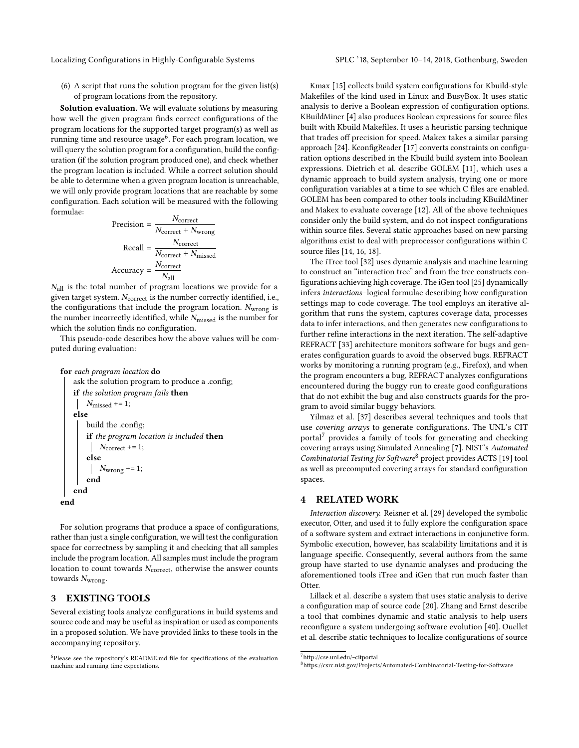Localizing Configurations in Highly-Configurable Systems SPLC '18, September 10-14, 2018, Gothenburg, Sweden

(6) A script that runs the solution program for the given list(s) of program locations from the repository.

Solution evaluation. We will evaluate solutions by measuring how well the given program finds correct configurations of the program locations for the supported target program(s) as well as running time and resource usage<sup>[6](#page-2-0)</sup>. For each program location, we will query the solution program for a configuration, build the configuration (if the solution program produced one), and check whether the program location is included. While a correct solution should be able to determine when a given program location is unreachable, we will only provide program locations that are reachable by some configuration. Each solution will be measured with the following formulae:

$$
Precision = \frac{N_{correct}}{N_{correct} + N_{wrong}}
$$

$$
Recall = \frac{N_{correct}}{N_{correct} + N_{missed}}
$$

$$
Accuracy = \frac{N_{correct}}{N_{all}}
$$

 $N<sub>all</sub>$  is the total number of program locations we provide for a given target system.  $N_{\text{correct}}$  is the number correctly identified, i.e., the configurations that include the program location.  $N_{\text{wrong}}$  is the number incorrectly identified, while  $N_{\text{missed}}$  is the number for which the solution finds no configuration.

This pseudo-code describes how the above values will be computed during evaluation:

```
for each program location do
    ask the solution program to produce a .config;
    if the solution program fails then
        N_{\text{missed}} += 1;
    else
        build the .config;
        if the program location is included then
         N_{\text{correct}} += 1;
        else
         \vert N_{\text{wrong}} += 1;
        end
    end
end
```
For solution programs that produce a space of configurations, rather than just a single configuration, we will test the configuration space for correctness by sampling it and checking that all samples include the program location. All samples must include the program location to count towards  $N_{\text{correct}}$ , otherwise the answer counts towards Nwrong.

# <span id="page-2-3"></span>3 EXISTING TOOLS

Several existing tools analyze configurations in build systems and source code and may be useful as inspiration or used as components in a proposed solution. We have provided links to these tools in the accompanying repository.

Kmax [\[15\]](#page-3-1) collects build system configurations for Kbuild-style Makefiles of the kind used in Linux and BusyBox. It uses static analysis to derive a Boolean expression of configuration options. KBuildMiner [\[4\]](#page-3-2) also produces Boolean expressions for source files built with Kbuild Makefiles. It uses a heuristic parsing technique that trades off precision for speed. Makex takes a similar parsing approach [\[24\]](#page-4-1). KconfigReader [\[17\]](#page-3-3) converts constraints on configuration options described in the Kbuild build system into Boolean expressions. Dietrich et al. describe GOLEM [\[11\]](#page-3-4), which uses a dynamic approach to build system analysis, trying one or more configuration variables at a time to see which C files are enabled. GOLEM has been compared to other tools including KBuildMiner and Makex to evaluate coverage [\[12\]](#page-3-5). All of the above techniques consider only the build system, and do not inspect configurations within source files. Several static approaches based on new parsing algorithms exist to deal with preprocessor configurations within C source files [\[14,](#page-3-6) [16,](#page-3-7) [18\]](#page-3-8).

The iTree tool [\[32\]](#page-4-2) uses dynamic analysis and machine learning to construct an "interaction tree" and from the tree constructs configurations achieving high coverage. The iGen tool [\[25\]](#page-4-3) dynamically infers interactions–logical formulae describing how configuration settings map to code coverage. The tool employs an iterative algorithm that runs the system, captures coverage data, processes data to infer interactions, and then generates new configurations to further refine interactions in the next iteration. The self-adaptive REFRACT [\[33\]](#page-4-4) architecture monitors software for bugs and generates configuration guards to avoid the observed bugs. REFRACT works by monitoring a running program (e.g., Firefox), and when the program encounters a bug, REFRACT analyzes configurations encountered during the buggy run to create good configurations that do not exhibit the bug and also constructs guards for the program to avoid similar buggy behaviors.

Yilmaz et al. [\[37\]](#page-4-5) describes several techniques and tools that use covering arrays to generate configurations. The UNL's CIT portal<sup>[7](#page-2-1)</sup> provides a family of tools for generating and checking covering arrays using Simulated Annealing [\[7\]](#page-3-9). NIST's Automated Combinatorial Testing for Software<sup>[8](#page-2-2)</sup> project provides ACTS [\[19\]](#page-3-10) tool as well as precomputed covering arrays for standard configuration spaces.

### 4 RELATED WORK

Interaction discovery. Reisner et al. [\[29\]](#page-4-6) developed the symbolic executor, Otter, and used it to fully explore the configuration space of a software system and extract interactions in conjunctive form. Symbolic execution, however, has scalability limitations and it is language specific. Consequently, several authors from the same group have started to use dynamic analyses and producing the aforementioned tools iTree and iGen that run much faster than Otter.

Lillack et al. describe a system that uses static analysis to derive a configuration map of source code [\[20\]](#page-3-11). Zhang and Ernst describe a tool that combines dynamic and static analysis to help users reconfigure a system undergoing software evolution [\[40\]](#page-4-7). Ouellet et al. describe static techniques to localize configurations of source

<span id="page-2-0"></span><sup>6</sup>Please see the repository's README.md file for specifications of the evaluation machine and running time expectations.

<span id="page-2-1"></span><sup>7</sup><http://cse.unl.edu/~citportal>

<span id="page-2-2"></span><sup>8</sup><https://csrc.nist.gov/Projects/Automated-Combinatorial-Testing-for-Software>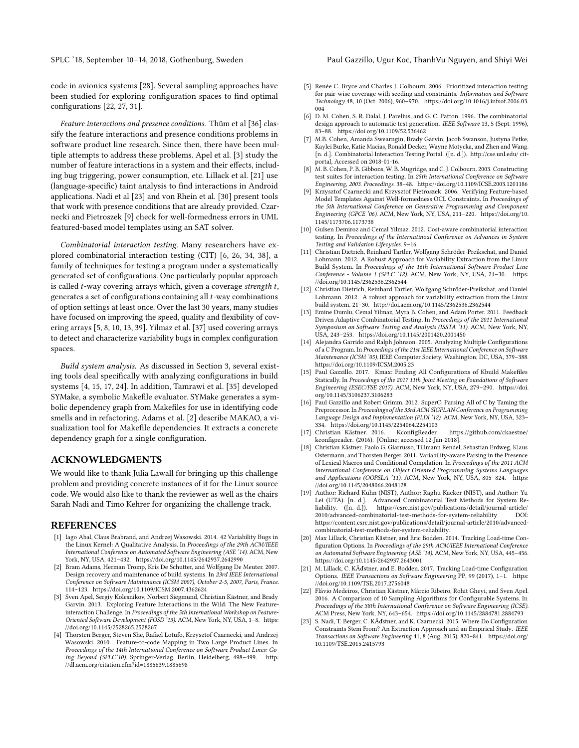#### SPLC '18, September 10–14, 2018, Gothenburg, Sweden Paul Gazzillo, Ugur Koc, ThanhVu Nguyen, and Shiyi Wei

code in avionics systems [\[28\]](#page-4-8). Several sampling approaches have been studied for exploring configuration spaces to find optimal configurations [\[22,](#page-3-12) [27,](#page-4-9) [31\]](#page-4-10).

Feature interactions and presence conditions. Thüm et al [\[36\]](#page-4-11) classify the feature interactions and presence conditions problems in software product line research. Since then, there have been multiple attempts to address these problems. Apel et al. [\[3\]](#page-3-13) study the number of feature interactions in a system and their effects, including bug triggering, power consumption, etc. Lillack et al. [\[21\]](#page-3-14) use (language-specific) taint analysis to find interactions in Android applications. Nadi et al [\[23\]](#page-3-15) and von Rhein et al. [\[30\]](#page-4-12) present tools that work with presence conditions that are already provided. Czarnecki and Pietroszek [\[9\]](#page-3-16) check for well-formedness errors in UML featured-based model templates using an SAT solver.

Combinatorial interaction testing. Many researchers have explored combinatorial interaction testing (CIT) [\[6,](#page-3-17) [26,](#page-4-13) [34,](#page-4-14) [38\]](#page-4-15), a family of techniques for testing a program under a systematically generated set of configurations. One particularly popular approach is called t-way covering arrays which, given a coverage strength t, generates a set of configurations containing all t-way combinations of option settings at least once. Over the last 30 years, many studies have focused on improving the speed, quality and flexibility of covering arrays [\[5,](#page-3-18) [8,](#page-3-19) [10,](#page-3-20) [13,](#page-3-21) [39\]](#page-4-16). Yilmaz et al. [\[37\]](#page-4-5) used covering arrays to detect and characterize variability bugs in complex configuration spaces.

Build system analysis. As discussed in Section [3,](#page-2-3) several existing tools deal specifically with analyzing configurations in build systems [\[4,](#page-3-2) [15,](#page-3-1) [17,](#page-3-3) [24\]](#page-4-1). In addition, Tamrawi et al. [\[35\]](#page-4-17) developed SYMake, a symbolic Makefile evaluator. SYMake generates a symbolic dependency graph from Makefiles for use in identifying code smells and in refactoring. Adams et al. [\[2\]](#page-3-22) describe MAKAO, a visualization tool for Makefile dependencies. It extracts a concrete dependency graph for a single configuration.

#### ACKNOWLEDGMENTS

We would like to thank Julia Lawall for bringing up this challenge problem and providing concrete instances of it for the Linux source code. We would also like to thank the reviewer as well as the chairs Sarah Nadi and Timo Kehrer for organizing the challenge track.

#### REFERENCES

- <span id="page-3-0"></span>[1] Iago Abal, Claus Brabrand, and Andrzej Wasowski. 2014. 42 Variability Bugs in the Linux Kernel: A Qualitative Analysis. In Proceedings of the 29th ACM/IEEE International Conference on Automated Software Engineering (ASE '14). ACM, New York, NY, USA, 421–432.<https://doi.org/10.1145/2642937.2642990>
- <span id="page-3-22"></span>[2] Bram Adams, Herman Tromp, Kris De Schutter, and Wolfgang De Meuter. 2007. Design recovery and maintenance of build systems. In 23rd IEEE International Conference on Software Maintenance (ICSM 2007), October 2-5, 2007, Paris, France. 114–123.<https://doi.org/10.1109/ICSM.2007.4362624>
- <span id="page-3-13"></span>[3] Sven Apel, Sergiy Kolesnikov, Norbert Siegmund, Christian Kästner, and Brady Garvin. 2013. Exploring Feature Interactions in the Wild: The New Featureinteraction Challenge. In Proceedings of the 5th International Workshop on Feature-Oriented Software Development (FOSD '13). ACM, New York, NY, USA, 1–8. [https:](https://doi.org/10.1145/2528265.2528267) [//doi.org/10.1145/2528265.2528267](https://doi.org/10.1145/2528265.2528267)
- <span id="page-3-2"></span>[4] Thorsten Berger, Steven She, Rafael Lotufo, Krzysztof Czarnecki, and Andrzej Wasowski. 2010. Feature-to-code Mapping in Two Large Product Lines. In Proceedings of the 14th International Conference on Software Product Lines: Going Beyond (SPLC'10). Springer-Verlag, Berlin, Heidelberg, 498–499. [http:](http://dl.acm.org/citation.cfm?id=1885639.1885698) [//dl.acm.org/citation.cfm?id=1885639.1885698](http://dl.acm.org/citation.cfm?id=1885639.1885698)
- <span id="page-3-18"></span>[5] Renée C. Bryce and Charles J. Colbourn. 2006. Prioritized interaction testing for pair-wise coverage with seeding and constraints. Information and Software Technology 48, 10 (Oct. 2006), 960–970. [https://doi.org/10.1016/j.infsof.2006.03.](https://doi.org/10.1016/j.infsof.2006.03.004) [004](https://doi.org/10.1016/j.infsof.2006.03.004)
- <span id="page-3-17"></span>[6] D. M. Cohen, S. R. Dalal, J. Parelius, and G. C. Patton. 1996. The combinatorial design approach to automatic test generation. IEEE Software 13, 5 (Sept. 1996), 83–88.<https://doi.org/10.1109/52.536462>
- <span id="page-3-9"></span>[7] M.B. Cohen, Amanda Swearngin, Brady Garvin, Jacob Swanson, Justyna Petke, Kaylei Burke, Katie Macias, Ronald Decker, Wayne Motycka, and Zhen and Wang. [n. d.]. Combinatorial Interaction Testing Portal. ([n. d.]). http://cse.unl.edu/ citportal, Accessed on 2018-01-16.
- <span id="page-3-19"></span>[8] M. B. Cohen, P. B. Gibbons, W. B. Mugridge, and C. J. Colbourn. 2003. Constructing test suites for interaction testing. In 25th International Conference on Software Engineering, 2003. Proceedings. 38–48.<https://doi.org/10.1109/ICSE.2003.1201186>
- <span id="page-3-16"></span>[9] Krzysztof Czarnecki and Krzysztof Pietroszek. 2006. Verifying Feature-based Model Templates Against Well-formedness OCL Constraints. In Proceedings of the 5th International Conference on Generative Programming and Component Engineering (GPCE '06). ACM, New York, NY, USA, 211–220. [https://doi.org/10.](https://doi.org/10.1145/1173706.1173738) [1145/1173706.1173738](https://doi.org/10.1145/1173706.1173738)
- <span id="page-3-20"></span>[10] Gulsen Demiroz and Cemal Yilmaz. 2012. Cost-aware combinatorial interaction testing. In Proceedings of the Internatinoal Conference on Advances in System Testing and Validation Lifecycles. 9–16.
- <span id="page-3-4"></span>[11] Christian Dietrich, Reinhard Tartler, Wolfgang Schröder-Preikschat, and Daniel Lohmann. 2012. A Robust Approach for Variability Extraction from the Linux Build System. In Proceedings of the 16th International Software Product Line Conference - Volume 1 (SPLC '12). ACM, New York, NY, USA, 21-30. [https:](https://doi.org/10.1145/2362536.2362544) [//doi.org/10.1145/2362536.2362544](https://doi.org/10.1145/2362536.2362544)
- <span id="page-3-5"></span>[12] Christian Dietrich, Reinhard Tartler, Wolfgang Schröder-Preikshat, and Daniel Lohmann. 2012. A robust approach for variability extraction from the Linux build system. 21–30.<http://doi.acm.org/10.1145/2362536.2362544>
- <span id="page-3-21"></span>[13] Emine Dumlu, Cemal Yilmaz, Myra B. Cohen, and Adam Porter. 2011. Feedback Driven Adaptive Combinatorial Testing. In Proceedings of the 2011 International Symposium on Software Testing and Analysis (ISSTA '11). ACM, New York, NY, USA, 243–253.<https://doi.org/10.1145/2001420.2001450>
- <span id="page-3-6"></span>[14] Alejandra Garrido and Ralph Johnson. 2005. Analyzing Multiple Configurations of a C Program. In Proceedings of the 21st IEEE International Conference on Software Maintenance (ICSM '05). IEEE Computer Society, Washington, DC, USA, 379–388. <https://doi.org/10.1109/ICSM.2005.23>
- <span id="page-3-1"></span>[15] Paul Gazzillo. 2017. Kmax: Finding All Configurations of Kbuild Makefiles Statically. In Proceedings of the 2017 11th Joint Meeting on Foundations of Software Engineering (ESEC/FSE 2017). ACM, New York, NY, USA, 279–290. [https://doi.](https://doi.org/10.1145/3106237.3106283) [org/10.1145/3106237.3106283](https://doi.org/10.1145/3106237.3106283)
- <span id="page-3-7"></span>[16] Paul Gazzillo and Robert Grimm. 2012. SuperC: Parsing All of C by Taming the Preprocessor. In Proceedings of the 33rd ACM SIGPLAN Conference on Programming Language Design and Implementation (PLDI '12). ACM, New York, NY, USA, 323– 334.<https://doi.org/10.1145/2254064.2254103>
- <span id="page-3-3"></span>[17] Christian Kästner. 2016. KconfigReader. [https://github.com/ckaestne/](https://github.com/ckaestne/kconfigreader) [kconfigreader.](https://github.com/ckaestne/kconfigreader) (2016). [Online; accessed 12-Jan-2018].
- <span id="page-3-8"></span>[18] Christian Kästner, Paolo G. Giarrusso, Tillmann Rendel, Sebastian Erdweg, Klaus Ostermann, and Thorsten Berger. 2011. Variability-aware Parsing in the Presence of Lexical Macros and Conditional Compilation. In Proceedings of the 2011 ACM International Conference on Object Oriented Programming Systems Languages and Applications (OOPSLA '11). ACM, New York, NY, USA, 805–824. [https:](https://doi.org/10.1145/2048066.2048128) [//doi.org/10.1145/2048066.2048128](https://doi.org/10.1145/2048066.2048128)
- <span id="page-3-10"></span>[19] Author: Richard Kuhn (NIST), Author: Raghu Kacker (NIST), and Author: Yu Lei (UTA). [n. d.]. Advanced Combinatorial Test Methods for System Reliability. ([n. d.]). [https://csrc.nist.gov/publications/detail/journal-article/](https://csrc.nist.gov/publications/detail/journal-article/2010/advanced-combinatorial-test-methods-for-system-reliability) [2010/advanced-combinatorial-test-methods-for-system-reliability](https://csrc.nist.gov/publications/detail/journal-article/2010/advanced-combinatorial-test-methods-for-system-reliability) DOI: https://content.csrc.nist.gov/publications/detail/journal-article/2010/advancedcombinatorial-test-methods-for-system-reliability.
- <span id="page-3-11"></span>[20] Max Lillack, Christian Kästner, and Eric Bodden. 2014. Tracking Load-time Configuration Options. In Proceedings of the 29th ACM/IEEE International Conference on Automated Software Engineering (ASE '14). ACM, New York, NY, USA, 445–456. <https://doi.org/10.1145/2642937.2643001>
- <span id="page-3-14"></span>[21] M. Lillack, C. KÃďstner, and E. Bodden. 2017. Tracking Load-time Configuration Options. IEEE Transactions on Software Engineering PP, 99 (2017), 1–1. [https:](https://doi.org/10.1109/TSE.2017.2756048) [//doi.org/10.1109/TSE.2017.2756048](https://doi.org/10.1109/TSE.2017.2756048)
- <span id="page-3-12"></span>[22] Flávio Medeiros, Christian Kästner, Márcio Ribeiro, Rohit Gheyi, and Sven Apel. 2016. A Comparison of 10 Sampling Algorithms for Configurable Systems. In Proceedings of the 38th International Conference on Software Engineering (ICSE). ACM Press, New York, NY, 643–654.<https://doi.org/10.1145/2884781.2884793>
- <span id="page-3-15"></span>[23] S. Nadi, T. Berger, C. KÃďstner, and K. Czarnecki. 2015. Where Do Configuration Constraints Stem From? An Extraction Approach and an Empirical Study. IEEE Transactions on Software Engineering 41, 8 (Aug. 2015), 820–841. [https://doi.org/](https://doi.org/10.1109/TSE.2015.2415793) [10.1109/TSE.2015.2415793](https://doi.org/10.1109/TSE.2015.2415793)